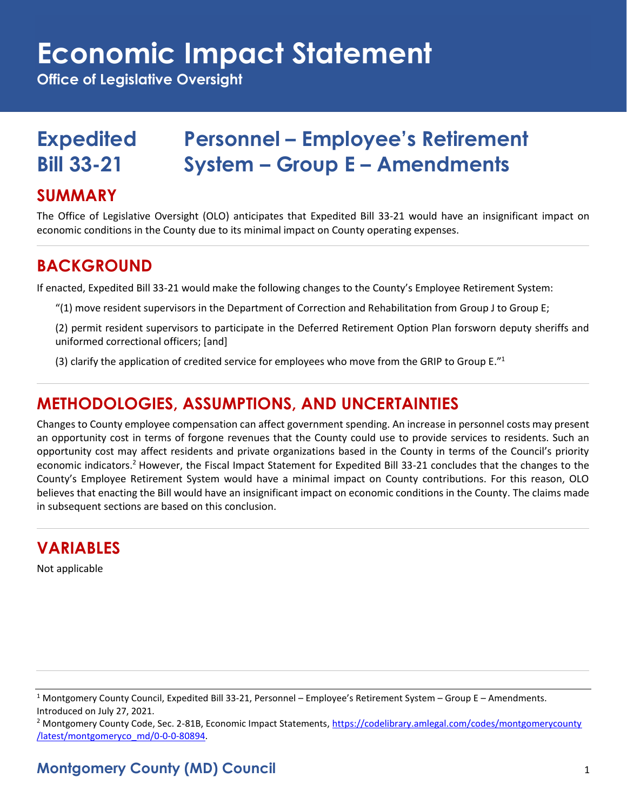# **Economic Impact Statement**

**Office of Legislative Oversight**

# **Expedited Personnel – Employee's Retirement Bill 33-21 System – Group E – Amendments**

#### **SUMMARY**

The Office of Legislative Oversight (OLO) anticipates that Expedited Bill 33-21 would have an insignificant impact on economic conditions in the County due to its minimal impact on County operating expenses.

#### **BACKGROUND**

If enacted, Expedited Bill 33-21 would make the following changes to the County's Employee Retirement System:

- "(1) move resident supervisors in the Department of Correction and Rehabilitation from Group J to Group E;
- (2) permit resident supervisors to participate in the Deferred Retirement Option Plan forsworn deputy sheriffs and uniformed correctional officers; [and]
- (3) clarify the application of credited service for employees who move from the GRIP to Group E."<sup>1</sup>

#### **METHODOLOGIES, ASSUMPTIONS, AND UNCERTAINTIES**

Changes to County employee compensation can affect government spending. An increase in personnel costs may present an opportunity cost in terms of forgone revenues that the County could use to provide services to residents. Such an opportunity cost may affect residents and private organizations based in the County in terms of the Council's priority economic indicators.<sup>2</sup> However, the Fiscal Impact Statement for Expedited Bill 33-21 concludes that the changes to the County's Employee Retirement System would have a minimal impact on County contributions. For this reason, OLO believes that enacting the Bill would have an insignificant impact on economic conditions in the County. The claims made in subsequent sections are based on this conclusion.

## **VARIABLES**

Not applicable

<sup>2</sup> Montgomery County Code, Sec. 2-81B, Economic Impact Statements[, https://codelibrary.amlegal.com/codes/montgomerycounty](https://codelibrary.amlegal.com/codes/montgomerycounty/latest/montgomeryco_md/0-0-0-80894) [/latest/montgomeryco\\_md/0-0-0-80894.](https://codelibrary.amlegal.com/codes/montgomerycounty/latest/montgomeryco_md/0-0-0-80894) 

## **Montgomery County (MD) Council** 1

<sup>1</sup> Montgomery County Council, Expedited Bill 33-21, Personnel – Employee's Retirement System – Group E – Amendments. Introduced on July 27, 2021.